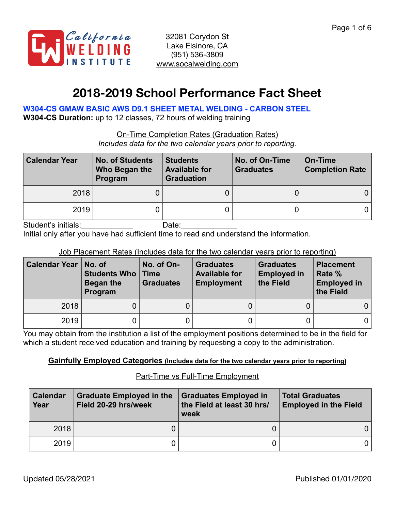

# **2018-2019 School Performance Fact Sheet**

**W304-CS GMAW BASIC AWS D9.1 SHEET METAL WELDING - CARBON STEEL** 

**W304-CS Duration:** up to 12 classes, 72 hours of welding training

On-Time Completion Rates (Graduation Rates)

*Includes data for the two calendar years prior to reporting.*

| <b>Calendar Year</b> | <b>No. of Students</b><br>Who Began the<br>Program | <b>Students</b><br><b>Available for</b><br><b>Graduation</b> | No. of On-Time<br><b>Graduates</b> | On-Time<br><b>Completion Rate</b> |
|----------------------|----------------------------------------------------|--------------------------------------------------------------|------------------------------------|-----------------------------------|
| 2018                 |                                                    |                                                              |                                    |                                   |
| 2019                 |                                                    |                                                              |                                    |                                   |

Student's initials: example and Date:

Initial only after you have had sufficient time to read and understand the information.

### Job Placement Rates (Includes data for the two calendar years prior to reporting)

| Calendar Year | No. of<br><b>Students Who   Time</b><br>Began the<br>Program | No. of On-<br><b>Graduates</b> | <b>Graduates</b><br><b>Available for</b><br><b>Employment</b> | <b>Graduates</b><br><b>Employed in</b><br>the Field | <b>Placement</b><br>Rate %<br><b>Employed in</b><br>the Field |
|---------------|--------------------------------------------------------------|--------------------------------|---------------------------------------------------------------|-----------------------------------------------------|---------------------------------------------------------------|
| 2018          |                                                              |                                |                                                               |                                                     |                                                               |
| 2019          |                                                              |                                |                                                               |                                                     | 0                                                             |

You may obtain from the institution a list of the employment positions determined to be in the field for which a student received education and training by requesting a copy to the administration.

### **Gainfully Employed Categories (Includes data for the two calendar years prior to reporting)**

### Part-Time vs Full-Time Employment

| <b>Calendar</b><br>Year | <b>Graduate Employed in the</b><br>Field 20-29 hrs/week | <b>Graduates Employed in</b><br>the Field at least 30 hrs/<br>week | <b>Total Graduates</b><br><b>Employed in the Field</b> |
|-------------------------|---------------------------------------------------------|--------------------------------------------------------------------|--------------------------------------------------------|
| 2018                    |                                                         |                                                                    |                                                        |
| 2019                    |                                                         |                                                                    |                                                        |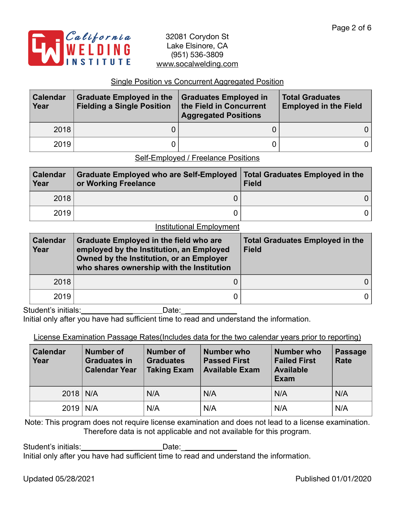

#### Single Position vs Concurrent Aggregated Position

| <b>Calendar</b><br>Year | <b>Graduate Employed in the</b><br><b>Fielding a Single Position</b> | Graduates Employed in<br>the Field in Concurrent<br><b>Aggregated Positions</b> | <b>Total Graduates</b><br><b>Employed in the Field</b> |  |
|-------------------------|----------------------------------------------------------------------|---------------------------------------------------------------------------------|--------------------------------------------------------|--|
| 2018                    |                                                                      |                                                                                 | 0 I                                                    |  |
| 2019                    |                                                                      |                                                                                 | 0 l                                                    |  |

Self-Employed / Freelance Positions

| <b>Calendar</b><br>Year | Graduate Employed who are Self-Employed   Total Graduates Employed in the<br>or Working Freelance | <b>Field</b> |
|-------------------------|---------------------------------------------------------------------------------------------------|--------------|
| 2018                    |                                                                                                   |              |
| 2019                    |                                                                                                   |              |

#### Institutional Employment

| <b>Calendar</b><br>Year | <b>Graduate Employed in the field who are</b><br>employed by the Institution, an Employed<br>Owned by the Institution, or an Employer<br>who shares ownership with the Institution | <b>Total Graduates Employed in the</b><br><b>Field</b> |  |  |
|-------------------------|------------------------------------------------------------------------------------------------------------------------------------------------------------------------------------|--------------------------------------------------------|--|--|
| 2018                    |                                                                                                                                                                                    |                                                        |  |  |
| 2019                    |                                                                                                                                                                                    |                                                        |  |  |

Student's initials: example and Date:

Initial only after you have had sufficient time to read and understand the information.

### License Examination Passage Rates(Includes data for the two calendar years prior to reporting)

| Number of<br><b>Calendar</b><br>Year<br><b>Graduates in</b><br><b>Calendar Year</b> |  | Number who<br><b>Number of</b><br><b>Graduates</b><br><b>Passed First</b><br><b>Available Exam</b><br><b>Taking Exam</b> |     | <b>Number who</b><br><b>Failed First</b><br><b>Available</b><br>Exam | <b>Passage</b><br>Rate |
|-------------------------------------------------------------------------------------|--|--------------------------------------------------------------------------------------------------------------------------|-----|----------------------------------------------------------------------|------------------------|
| $2018$ N/A                                                                          |  | N/A                                                                                                                      | N/A | N/A                                                                  | N/A                    |
| $2019$ N/A                                                                          |  | N/A                                                                                                                      | N/A | N/A                                                                  | N/A                    |

Note: This program does not require license examination and does not lead to a license examination. Therefore data is not applicable and not available for this program.

Student's initials:\_\_\_\_\_\_\_\_\_\_\_\_\_\_\_\_\_\_\_\_\_\_\_\_\_\_Date: Initial only after you have had sufficient time to read and understand the information.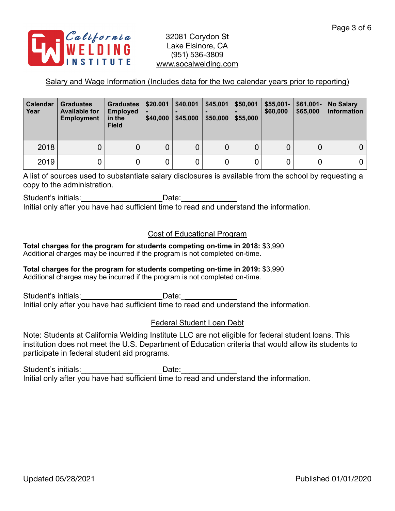

## Salary and Wage Information (Includes data for the two calendar years prior to reporting)

| <b>Calendar</b><br>Year | <b>Graduates</b><br><b>Available for</b><br><b>Employment</b> | <b>Graduates</b><br><b>Employed</b><br>in the<br><b>Field</b> | \$20.001<br>\$40,000 | \$40,001<br>\$45,000 | \$45,001<br>\$50,000 | \$50,001<br>\$55,000 | $$55,001-$<br>\$60,000 | $$61,001-$<br>\$65,000 | <b>No Salary</b><br><b>Information</b> |
|-------------------------|---------------------------------------------------------------|---------------------------------------------------------------|----------------------|----------------------|----------------------|----------------------|------------------------|------------------------|----------------------------------------|
| 2018                    | 0                                                             |                                                               |                      | 0                    | 0                    |                      |                        | 0                      |                                        |
| 2019                    |                                                               |                                                               |                      | 0                    | 0                    |                      |                        |                        |                                        |

A list of sources used to substantiate salary disclosures is available from the school by requesting a copy to the administration.

Student's initials: example and Date:

Initial only after you have had sufficient time to read and understand the information.

## Cost of Educational Program

**Total charges for the program for students competing on-time in 2018:** \$3,990 Additional charges may be incurred if the program is not completed on-time.

#### **Total charges for the program for students competing on-time in 2019:** \$3,990 Additional charges may be incurred if the program is not completed on-time.

Student's initials: example and Date: Initial only after you have had sufficient time to read and understand the information.

## Federal Student Loan Debt

Note: Students at California Welding Institute LLC are not eligible for federal student loans. This institution does not meet the U.S. Department of Education criteria that would allow its students to participate in federal student aid programs.

Student's initials: example and Date: Initial only after you have had sufficient time to read and understand the information.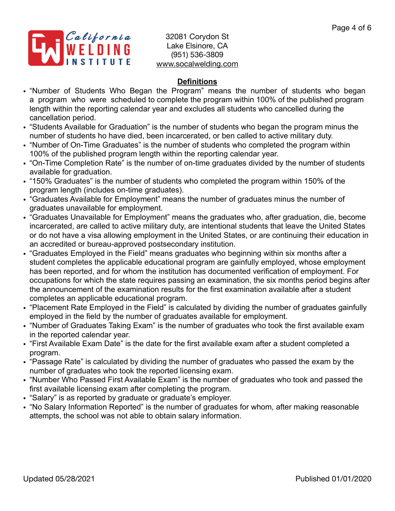

## **Definitions**

- "Number of Students Who Began the Program" means the number of students who began a program who were scheduled to complete the program within 100% of the published program length within the reporting calendar year and excludes all students who cancelled during the cancellation period.
- "Students Available for Graduation" is the number of students who began the program minus the number of students ho have died, been incarcerated, or ben called to active military duty.
- "Number of On-Time Graduates" is the number of students who completed the program within 100% of the published program length within the reporting calendar year.
- "On-Time Completion Rate" is the number of on-time graduates divided by the number of students available for graduation.
- "150% Graduates" is the number of students who completed the program within 150% of the program length (includes on-time graduates).
- "Graduates Available for Employment" means the number of graduates minus the number of graduates unavailable for employment.
- "Graduates Unavailable for Employment" means the graduates who, after graduation, die, become incarcerated, are called to active military duty, are intentional students that leave the United States or do not have a visa allowing employment in the United States, or are continuing their education in an accredited or bureau-approved postsecondary institution.
- "Graduates Employed in the Field" means graduates who beginning within six months after a student completes the applicable educational program are gainfully employed, whose employment has been reported, and for whom the institution has documented verification of employment. For occupations for which the state requires passing an examination, the six months period begins after the announcement of the examination results for the first examination available after a student completes an applicable educational program.
- "Placement Rate Employed in the Field" is calculated by dividing the number of graduates gainfully employed in the field by the number of graduates available for employment.
- "Number of Graduates Taking Exam" is the number of graduates who took the first available exam in the reported calendar year.
- "First Available Exam Date" is the date for the first available exam after a student completed a program.
- "Passage Rate" is calculated by dividing the number of graduates who passed the exam by the number of graduates who took the reported licensing exam.
- "Number Who Passed First Available Exam" is the number of graduates who took and passed the first available licensing exam after completing the program.
- "Salary" is as reported by graduate or graduate's employer.
- "No Salary Information Reported" is the number of graduates for whom, after making reasonable attempts, the school was not able to obtain salary information.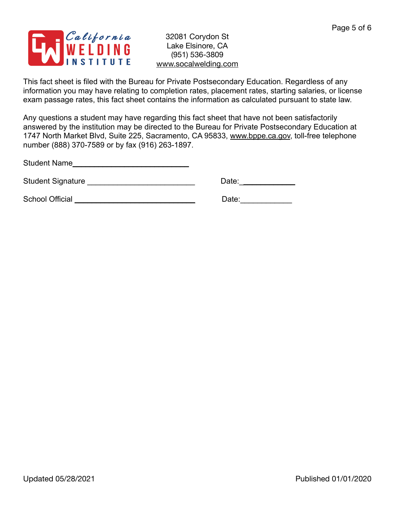

This fact sheet is filed with the Bureau for Private Postsecondary Education. Regardless of any information you may have relating to completion rates, placement rates, starting salaries, or license exam passage rates, this fact sheet contains the information as calculated pursuant to state law.

Any questions a student may have regarding this fact sheet that have not been satisfactorily answered by the institution may be directed to the Bureau for Private Postsecondary Education at 1747 North Market Blvd, Suite 225, Sacramento, CA 95833, [www.bppe.ca.gov](http://www.bppe.ca.gov), toll-free telephone number (888) 370-7589 or by fax (916) 263-1897.

Student Name\_\_\_\_\_\_\_\_\_\_\_\_\_\_\_\_\_\_\_\_\_\_\_\_\_\_\_

Student Signature \_\_\_\_\_\_\_\_\_\_\_\_\_\_\_\_\_\_\_\_\_\_\_\_\_ Date:\_\_\_\_\_\_\_\_\_\_\_\_\_

School Official \_\_\_\_\_\_\_\_\_\_\_\_\_\_\_\_\_\_\_\_\_\_\_\_\_\_\_\_ Date:\_\_\_\_\_\_\_\_\_\_\_\_